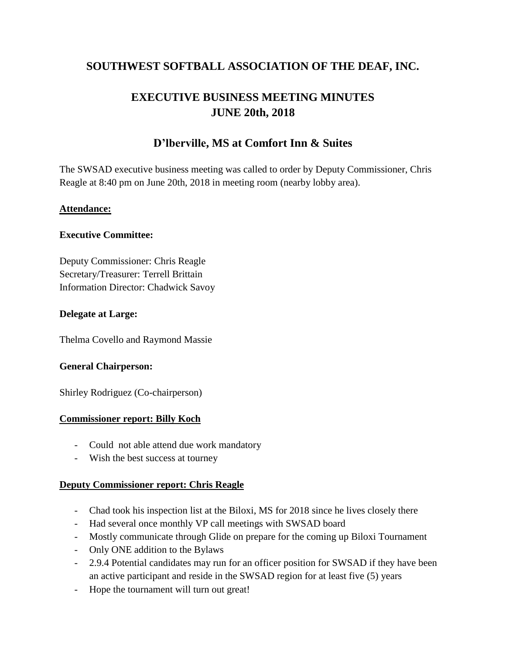## **SOUTHWEST SOFTBALL ASSOCIATION OF THE DEAF, INC.**

# **EXECUTIVE BUSINESS MEETING MINUTES JUNE 20th, 2018**

## **D'lberville, MS at Comfort Inn & Suites**

The SWSAD executive business meeting was called to order by Deputy Commissioner, Chris Reagle at 8:40 pm on June 20th, 2018 in meeting room (nearby lobby area).

#### **Attendance:**

#### **Executive Committee:**

Deputy Commissioner: Chris Reagle Secretary/Treasurer: Terrell Brittain Information Director: Chadwick Savoy

#### **Delegate at Large:**

Thelma Covello and Raymond Massie

#### **General Chairperson:**

Shirley Rodriguez (Co-chairperson)

#### **Commissioner report: Billy Koch**

- Could not able attend due work mandatory
- Wish the best success at tourney

#### **Deputy Commissioner report: Chris Reagle**

- Chad took his inspection list at the Biloxi, MS for 2018 since he lives closely there
- Had several once monthly VP call meetings with SWSAD board
- Mostly communicate through Glide on prepare for the coming up Biloxi Tournament
- Only ONE addition to the Bylaws
- 2.9.4 Potential candidates may run for an officer position for SWSAD if they have been an active participant and reside in the SWSAD region for at least five (5) years
- Hope the tournament will turn out great!